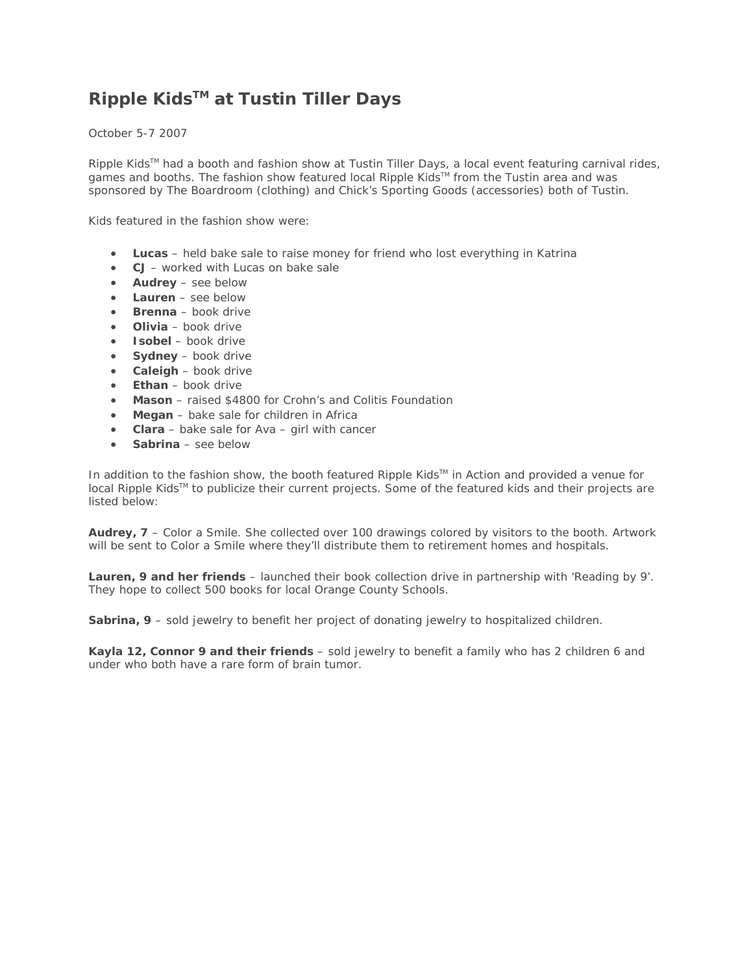## **Ripple KidsTM at Tustin Tiller Days**

October 5-7 2007

Ripple Kids™ had a booth and fashion show at Tustin Tiller Days, a local event featuring carnival rides, games and booths. The fashion show featured local Ripple Kids™ from the Tustin area and was sponsored by The Boardroom (clothing) and Chick's Sporting Goods (accessories) both of Tustin.

Kids featured in the fashion show were:

- **Lucas** held bake sale to raise money for friend who lost everything in Katrina
- **CJ** worked with Lucas on bake sale
- **Audrey** see below
- **Lauren** see below
- **Brenna** book drive
- **Olivia** book drive
- **Isobel** book drive
- **Sydney** book drive
- **Caleigh** book drive
- **Ethan**  book drive
- **Mason**  raised \$4800 for Crohn's and Colitis Foundation
- **Megan**  bake sale for children in Africa
- **Clara**  bake sale for Ava girl with cancer
- **Sabrina** see below

In addition to the fashion show, the booth featured Ripple Kids™ in Action and provided a venue for local Ripple Kids™ to publicize their current projects. Some of the featured kids and their projects are listed below:

**Audrey, 7** – Color a Smile. She collected over 100 drawings colored by visitors to the booth. Artwork will be sent to Color a Smile where they'll distribute them to retirement homes and hospitals.

**Lauren, 9 and her friends** – launched their book collection drive in partnership with 'Reading by 9'. They hope to collect 500 books for local Orange County Schools.

**Sabrina, 9** – sold jewelry to benefit her project of donating jewelry to hospitalized children.

**Kayla 12, Connor 9 and their friends** – sold jewelry to benefit a family who has 2 children 6 and under who both have a rare form of brain tumor.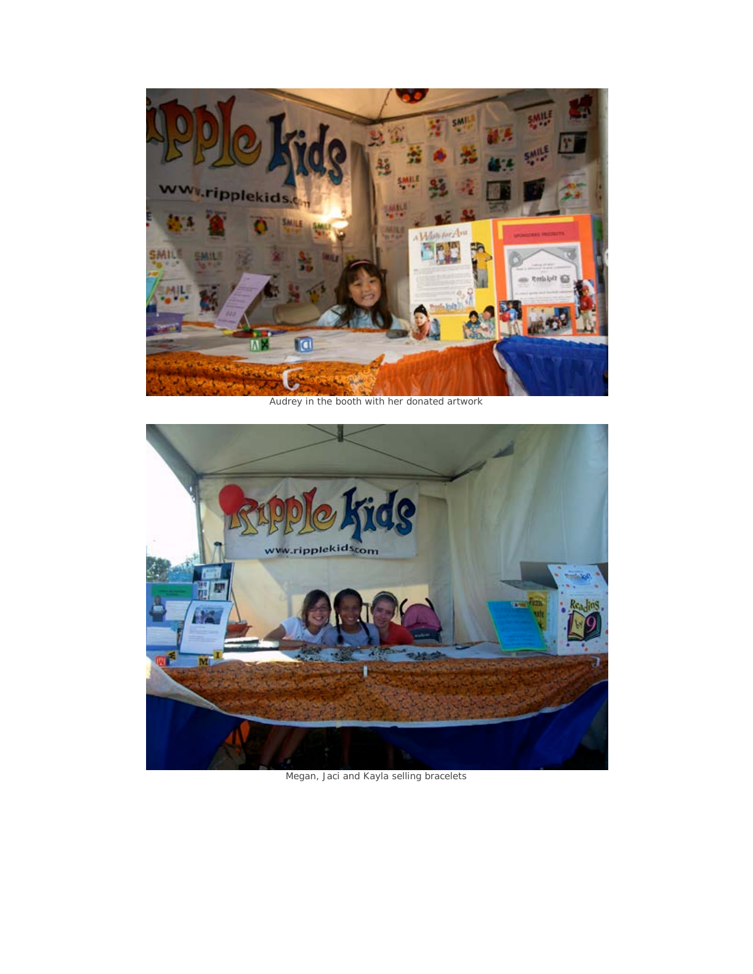

Audrey in the booth with her donated artwork



Megan, Jaci and Kayla selling bracelets